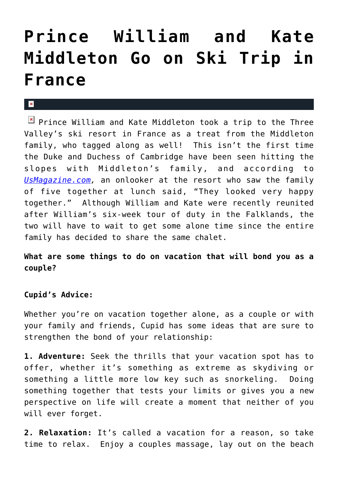## **[Prince William and Kate](https://cupidspulse.com/29190/prince-william-kate-middleton-ski-trip-france/) [Middleton Go on Ski Trip in](https://cupidspulse.com/29190/prince-william-kate-middleton-ski-trip-france/) [France](https://cupidspulse.com/29190/prince-william-kate-middleton-ski-trip-france/)**

## $\mathbf{x}$

 $\boxed{\times}$  Prince William and Kate Middleton took a trip to the Three Valley's ski resort in France as a treat from the Middleton family, who tagged along as well! This isn't the first time the Duke and Duchess of Cambridge have been seen hitting the slopes with Middleton's family, and according to *[UsMagazine.com](http://www.usmagazine.com/celebrity-news/news/prince-william-kate-middleton-embark-on-family-skiing-trip-in-france-2012273),* an onlooker at the resort who saw the family of five together at lunch said, "They looked very happy together." Although William and Kate were recently reunited after William's six-week tour of duty in the Falklands, the two will have to wait to get some alone time since the entire family has decided to share the same chalet.

**What are some things to do on vacation that will bond you as a couple?**

## **Cupid's Advice:**

Whether you're on vacation together alone, as a couple or with your family and friends, Cupid has some ideas that are sure to strengthen the bond of your relationship:

**1. Adventure:** Seek the thrills that your vacation spot has to offer, whether it's something as extreme as skydiving or something a little more low key such as snorkeling. Doing something together that tests your limits or gives you a new perspective on life will create a moment that neither of you will ever forget.

**2. Relaxation:** It's called a vacation for a reason, so take time to relax. Enjoy a couples massage, lay out on the beach